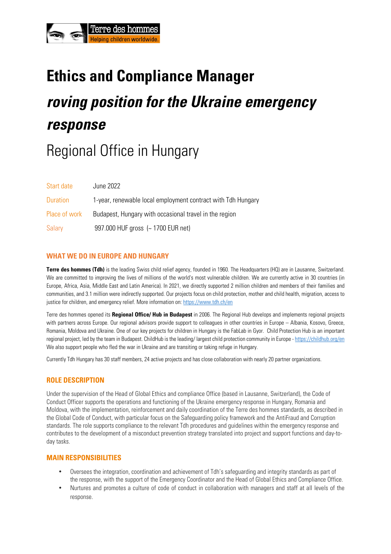# Terre des

## **Ethics and Compliance Manager roving position for the Ukraine emergency response**

### Regional Office in Hungary

| Start date      | June 2022                                                    |
|-----------------|--------------------------------------------------------------|
| <b>Duration</b> | 1-year, renewable local employment contract with Tdh Hungary |
| Place of work   | Budapest, Hungary with occasional travel in the region       |
| Salary          | 997.000 HUF gross (~ 1700 EUR net)                           |

#### **WHAT WE DO IN EUROPE AND HUNGARY**

**Terre des hommes (Tdh)** is the leading Swiss child relief agency, founded in 1960. The Headquarters (HQ) are in Lausanne, Switzerland. We are committed to improving the lives of millions of the world's most vulnerable children. We are currently active in 30 countries (in Europe, Africa, Asia, Middle East and Latin America). In 2021, we directly supported 2 million children and members of their families and communities, and 3.1 million were indirectly supported. Our projects focus on child protection, mother and child health, migration, access to justice for children, and emergency relief. More information on: https://www.tdh.ch/en

Terre des hommes opened its **Regional Office/ Hub in Budapest** in 2006. The Regional Hub develops and implements regional projects with partners across Europe. Our regional advisors provide support to colleagues in other countries in Europe – Albania, Kosovo, Greece, Romania, Moldova and Ukraine. One of our key projects for children in Hungary is the FabLab in Gyor. Child Protection Hub is an important regional project, led by the team in Budapest. ChildHub is the leading/largest child protection community in Europe - https://childhub.org/en We also support people who fled the war in Ukraine and are transiting or taking refuge in Hungary.

Currently Tdh Hungary has 30 staff members, 24 active projects and has close collaboration with nearly 20 partner organizations.

#### **ROLE DESCRIPTION**

Under the supervision of the Head of Global Ethics and compliance Office (based in Lausanne, Switzerland), the Code of Conduct Officer supports the operations and functioning of the Ukraine emergency response in Hungary, Romania and Moldova, with the implementation, reinforcement and daily coordination of the Terre des hommes standards, as described in the Global Code of Conduct, with particular focus on the Safeguarding policy framework and the AntiFraud and Corruption standards. The role supports compliance to the relevant Tdh procedures and guidelines within the emergency response and contributes to the development of a misconduct prevention strategy translated into project and support functions and day-today tasks.

#### **MAIN RESPONSIBILITIES**

- Oversees the integration, coordination and achievement of Tdh's safeguarding and integrity standards as part of the response, with the support of the Emergency Coordinator and the Head of Global Ethics and Compliance Office.
- Nurtures and promotes a culture of code of conduct in collaboration with managers and staff at all levels of the response.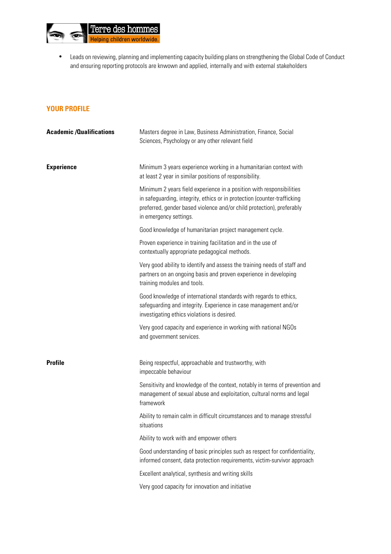

• Leads on reviewing, planning and implementing capacity building plans on strengthening the Global Code of Conduct and ensuring reporting protocols are knwown and applied, internally and with external stakeholders

#### **YOUR PROFILE**

| <b>Academic/Qualifications</b> | Masters degree in Law, Business Administration, Finance, Social<br>Sciences, Psychology or any other relevant field                                                                                                                                 |
|--------------------------------|-----------------------------------------------------------------------------------------------------------------------------------------------------------------------------------------------------------------------------------------------------|
| <b>Experience</b>              | Minimum 3 years experience working in a humanitarian context with<br>at least 2 year in similar positions of responsibility.                                                                                                                        |
|                                | Minimum 2 years field experience in a position with responsibilities<br>in safeguarding, integrity, ethics or in protection (counter-trafficking<br>preferred, gender based violence and/or child protection), preferably<br>in emergency settings. |
|                                | Good knowledge of humanitarian project management cycle.                                                                                                                                                                                            |
|                                | Proven experience in training facilitation and in the use of<br>contextually appropriate pedagogical methods.                                                                                                                                       |
|                                | Very good ability to identify and assess the training needs of staff and<br>partners on an ongoing basis and proven experience in developing<br>training modules and tools.                                                                         |
|                                | Good knowledge of international standards with regards to ethics,<br>safeguarding and integrity. Experience in case management and/or<br>investigating ethics violations is desired.                                                                |
|                                | Very good capacity and experience in working with national NGOs<br>and government services.                                                                                                                                                         |
| <b>Profile</b>                 | Being respectful, approachable and trustworthy, with<br>impeccable behaviour                                                                                                                                                                        |
|                                | Sensitivity and knowledge of the context, notably in terms of prevention and<br>management of sexual abuse and exploitation, cultural norms and legal<br>framework                                                                                  |
|                                | Ability to remain calm in difficult circumstances and to manage stressful<br>situations                                                                                                                                                             |
|                                | Ability to work with and empower others                                                                                                                                                                                                             |
|                                | Good understanding of basic principles such as respect for confidentiality,<br>informed consent, data protection requirements, victim-survivor approach                                                                                             |
|                                | Excellent analytical, synthesis and writing skills                                                                                                                                                                                                  |
|                                | Very good capacity for innovation and initiative                                                                                                                                                                                                    |